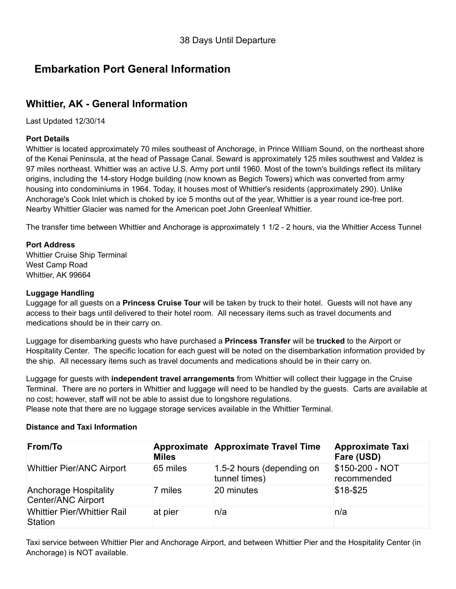## **Embarkation Port General Information**

## **Whittier, AK - General Information**

Last Updated 12/30/14

#### **Port Details**

Whittier is located approximately 70 miles southeast of Anchorage, in Prince William Sound, on the northeast shore of the Kenai Peninsula, at the head of Passage Canal. Seward is approximately 125 miles southwest and Valdez is 97 miles northeast. Whittier was an active U.S. Army port until 1960. Most of the town's buildings reflect its military origins, including the 14story Hodge building (now known as Begich Towers) which was converted from army housing into condominiums in 1964. Today, it houses most of Whittier's residents (approximately 290). Unlike Anchorage's Cook Inlet which is choked by ice 5 months out of the year, Whittier is a year round ice-free port. Nearby Whittier Glacier was named for the American poet John Greenleaf Whittier.

The transfer time between Whittier and Anchorage is approximately 1 1/2 2 hours, via the Whittier Access Tunnel

#### **Port Address**

Whittier Cruise Ship Terminal West Camp Road Whittier, AK 99664

#### **Luggage Handling**

Luggage for all guests on a **Princess Cruise Tour** will be taken by truck to their hotel. Guests will not have any access to their bags until delivered to their hotel room. All necessary items such as travel documents and medications should be in their carry on.

Luggage for disembarking guests who have purchased a **Princess Transfer** will be **trucked** to the Airport or Hospitality Center. The specific location for each guest will be noted on the disembarkation information provided by the ship. All necessary items such as travel documents and medications should be in their carry on.

Luggage for guests with **independent travel arrangements** from Whittier will collect their luggage in the Cruise Terminal. There are no porters in Whittier and luggage will need to be handled by the guests. Carts are available at no cost; however, staff will not be able to assist due to longshore regulations.

Please note that there are no luggage storage services available in the Whittier Terminal.

#### **Distance and Taxi Information**

| <b>From/To</b>                                       | <b>Miles</b> | Approximate Approximate Travel Time        | <b>Approximate Taxi</b><br>Fare (USD) |
|------------------------------------------------------|--------------|--------------------------------------------|---------------------------------------|
| <b>Whittier Pier/ANC Airport</b>                     | 65 miles     | 1.5-2 hours (depending on<br>tunnel times) | \$150-200 - NOT<br>recommended        |
| <b>Anchorage Hospitality</b><br>Center/ANC Airport   | 7 miles      | 20 minutes                                 | $$18-$25$                             |
| <b>Whittier Pier/Whittier Rail</b><br><b>Station</b> | at pier      | n/a                                        | n/a                                   |

Taxi service between Whittier Pier and Anchorage Airport, and between Whittier Pier and the Hospitality Center (in Anchorage) is NOT available.